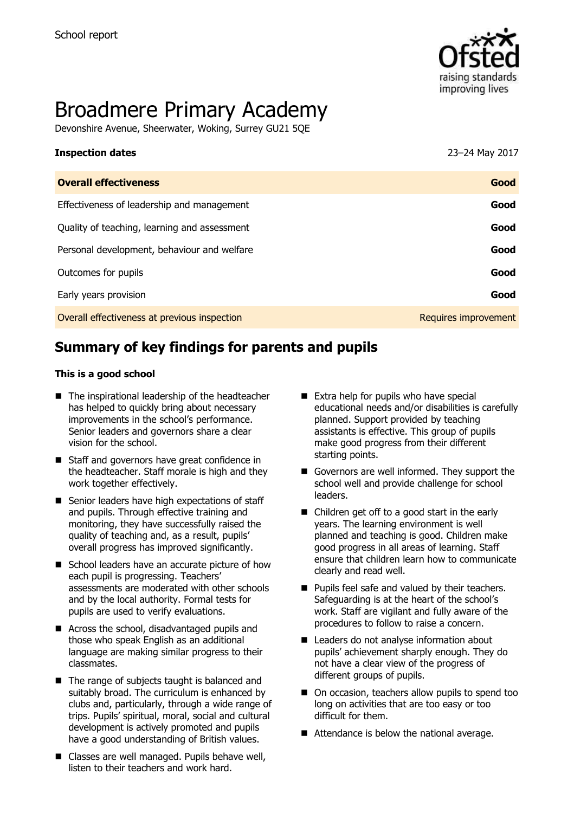

# Broadmere Primary Academy

Devonshire Avenue, Sheerwater, Woking, Surrey GU21 5QE

| <b>Inspection dates</b>                      | 23-24 May 2017       |
|----------------------------------------------|----------------------|
| <b>Overall effectiveness</b>                 | Good                 |
| Effectiveness of leadership and management   | Good                 |
| Quality of teaching, learning and assessment | Good                 |
| Personal development, behaviour and welfare  | Good                 |
| Outcomes for pupils                          | Good                 |
| Early years provision                        | Good                 |
| Overall effectiveness at previous inspection | Requires improvement |
|                                              |                      |

# **Summary of key findings for parents and pupils**

#### **This is a good school**

- The inspirational leadership of the headteacher has helped to quickly bring about necessary improvements in the school's performance. Senior leaders and governors share a clear vision for the school.
- Staff and governors have great confidence in the headteacher. Staff morale is high and they work together effectively.
- Senior leaders have high expectations of staff and pupils. Through effective training and monitoring, they have successfully raised the quality of teaching and, as a result, pupils' overall progress has improved significantly.
- School leaders have an accurate picture of how each pupil is progressing. Teachers' assessments are moderated with other schools and by the local authority. Formal tests for pupils are used to verify evaluations.
- Across the school, disadvantaged pupils and those who speak English as an additional language are making similar progress to their classmates.
- The range of subjects taught is balanced and suitably broad. The curriculum is enhanced by clubs and, particularly, through a wide range of trips. Pupils' spiritual, moral, social and cultural development is actively promoted and pupils have a good understanding of British values.
- Classes are well managed. Pupils behave well, listen to their teachers and work hard.
- Extra help for pupils who have special educational needs and/or disabilities is carefully planned. Support provided by teaching assistants is effective. This group of pupils make good progress from their different starting points.
- Governors are well informed. They support the school well and provide challenge for school leaders.
- Children get off to a good start in the early years. The learning environment is well planned and teaching is good. Children make good progress in all areas of learning. Staff ensure that children learn how to communicate clearly and read well.
- **Pupils feel safe and valued by their teachers.** Safeguarding is at the heart of the school's work. Staff are vigilant and fully aware of the procedures to follow to raise a concern.
- Leaders do not analyse information about pupils' achievement sharply enough. They do not have a clear view of the progress of different groups of pupils.
- On occasion, teachers allow pupils to spend too long on activities that are too easy or too difficult for them.
- Attendance is below the national average.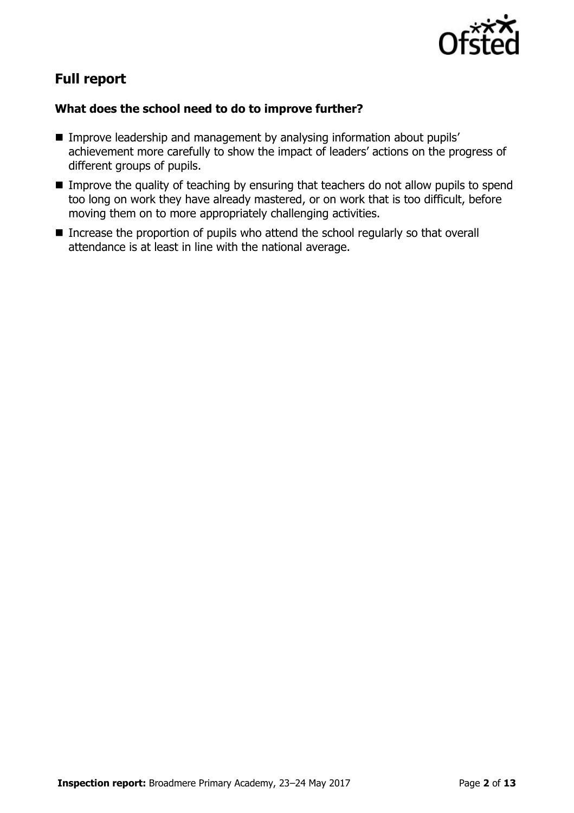

# **Full report**

# **What does the school need to do to improve further?**

- Improve leadership and management by analysing information about pupils' achievement more carefully to show the impact of leaders' actions on the progress of different groups of pupils.
- $\blacksquare$  Improve the quality of teaching by ensuring that teachers do not allow pupils to spend too long on work they have already mastered, or on work that is too difficult, before moving them on to more appropriately challenging activities.
- **Increase the proportion of pupils who attend the school regularly so that overall** attendance is at least in line with the national average.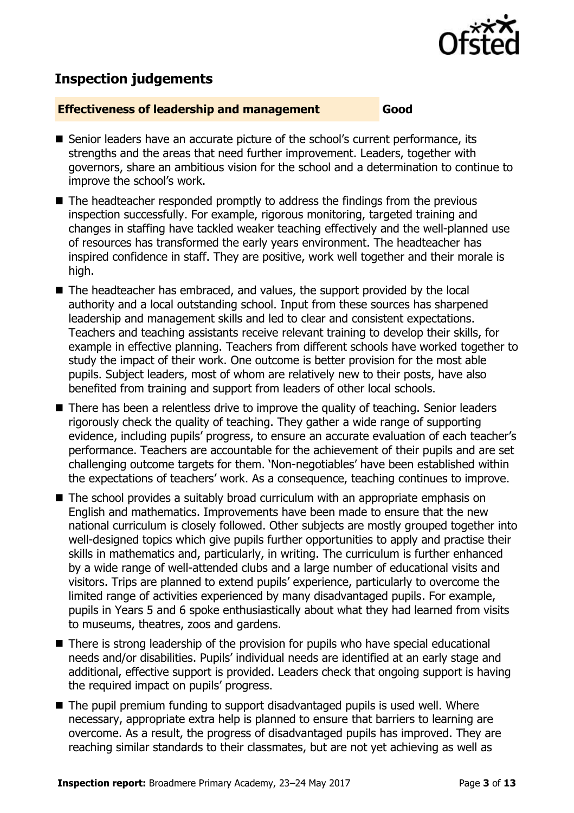

# **Inspection judgements**

#### **Effectiveness of leadership and management Good**

- Senior leaders have an accurate picture of the school's current performance, its strengths and the areas that need further improvement. Leaders, together with governors, share an ambitious vision for the school and a determination to continue to improve the school's work.
- The headteacher responded promptly to address the findings from the previous inspection successfully. For example, rigorous monitoring, targeted training and changes in staffing have tackled weaker teaching effectively and the well-planned use of resources has transformed the early years environment. The headteacher has inspired confidence in staff. They are positive, work well together and their morale is high.
- The headteacher has embraced, and values, the support provided by the local authority and a local outstanding school. Input from these sources has sharpened leadership and management skills and led to clear and consistent expectations. Teachers and teaching assistants receive relevant training to develop their skills, for example in effective planning. Teachers from different schools have worked together to study the impact of their work. One outcome is better provision for the most able pupils. Subject leaders, most of whom are relatively new to their posts, have also benefited from training and support from leaders of other local schools.
- There has been a relentless drive to improve the quality of teaching. Senior leaders rigorously check the quality of teaching. They gather a wide range of supporting evidence, including pupils' progress, to ensure an accurate evaluation of each teacher's performance. Teachers are accountable for the achievement of their pupils and are set challenging outcome targets for them. 'Non-negotiables' have been established within the expectations of teachers' work. As a consequence, teaching continues to improve.
- The school provides a suitably broad curriculum with an appropriate emphasis on English and mathematics. Improvements have been made to ensure that the new national curriculum is closely followed. Other subjects are mostly grouped together into well-designed topics which give pupils further opportunities to apply and practise their skills in mathematics and, particularly, in writing. The curriculum is further enhanced by a wide range of well-attended clubs and a large number of educational visits and visitors. Trips are planned to extend pupils' experience, particularly to overcome the limited range of activities experienced by many disadvantaged pupils. For example, pupils in Years 5 and 6 spoke enthusiastically about what they had learned from visits to museums, theatres, zoos and gardens.
- There is strong leadership of the provision for pupils who have special educational needs and/or disabilities. Pupils' individual needs are identified at an early stage and additional, effective support is provided. Leaders check that ongoing support is having the required impact on pupils' progress.
- The pupil premium funding to support disadvantaged pupils is used well. Where necessary, appropriate extra help is planned to ensure that barriers to learning are overcome. As a result, the progress of disadvantaged pupils has improved. They are reaching similar standards to their classmates, but are not yet achieving as well as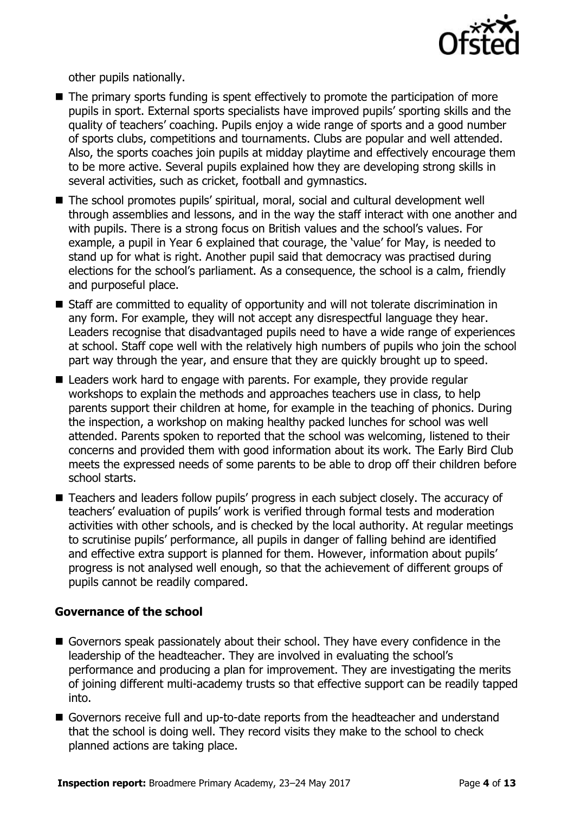

other pupils nationally.

- The primary sports funding is spent effectively to promote the participation of more pupils in sport. External sports specialists have improved pupils' sporting skills and the quality of teachers' coaching. Pupils enjoy a wide range of sports and a good number of sports clubs, competitions and tournaments. Clubs are popular and well attended. Also, the sports coaches join pupils at midday playtime and effectively encourage them to be more active. Several pupils explained how they are developing strong skills in several activities, such as cricket, football and gymnastics.
- The school promotes pupils' spiritual, moral, social and cultural development well through assemblies and lessons, and in the way the staff interact with one another and with pupils. There is a strong focus on British values and the school's values. For example, a pupil in Year 6 explained that courage, the 'value' for May, is needed to stand up for what is right. Another pupil said that democracy was practised during elections for the school's parliament. As a consequence, the school is a calm, friendly and purposeful place.
- Staff are committed to equality of opportunity and will not tolerate discrimination in any form. For example, they will not accept any disrespectful language they hear. Leaders recognise that disadvantaged pupils need to have a wide range of experiences at school. Staff cope well with the relatively high numbers of pupils who join the school part way through the year, and ensure that they are quickly brought up to speed.
- Leaders work hard to engage with parents. For example, they provide regular workshops to explain the methods and approaches teachers use in class, to help parents support their children at home, for example in the teaching of phonics. During the inspection, a workshop on making healthy packed lunches for school was well attended. Parents spoken to reported that the school was welcoming, listened to their concerns and provided them with good information about its work. The Early Bird Club meets the expressed needs of some parents to be able to drop off their children before school starts.
- Teachers and leaders follow pupils' progress in each subject closely. The accuracy of teachers' evaluation of pupils' work is verified through formal tests and moderation activities with other schools, and is checked by the local authority. At regular meetings to scrutinise pupils' performance, all pupils in danger of falling behind are identified and effective extra support is planned for them. However, information about pupils' progress is not analysed well enough, so that the achievement of different groups of pupils cannot be readily compared.

#### **Governance of the school**

- Governors speak passionately about their school. They have every confidence in the leadership of the headteacher. They are involved in evaluating the school's performance and producing a plan for improvement. They are investigating the merits of joining different multi-academy trusts so that effective support can be readily tapped into.
- Governors receive full and up-to-date reports from the headteacher and understand that the school is doing well. They record visits they make to the school to check planned actions are taking place.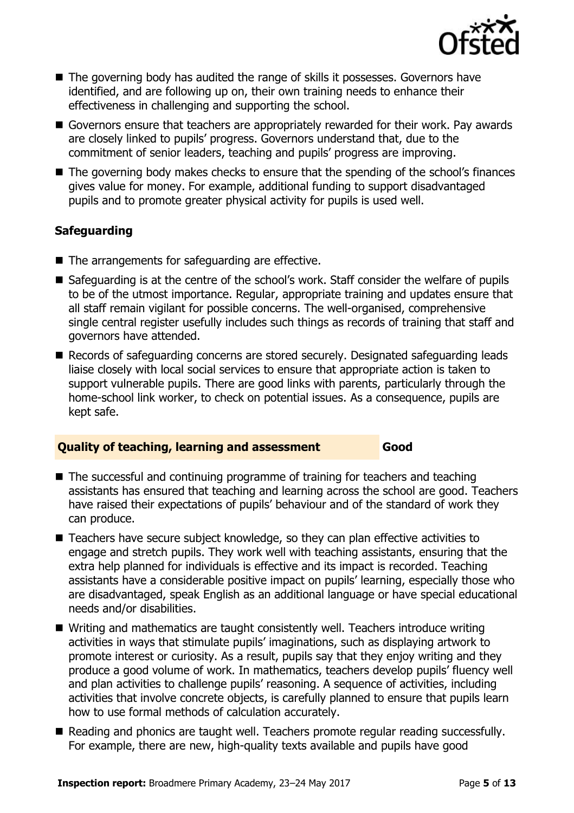

- The governing body has audited the range of skills it possesses. Governors have identified, and are following up on, their own training needs to enhance their effectiveness in challenging and supporting the school.
- Governors ensure that teachers are appropriately rewarded for their work. Pay awards are closely linked to pupils' progress. Governors understand that, due to the commitment of senior leaders, teaching and pupils' progress are improving.
- The governing body makes checks to ensure that the spending of the school's finances gives value for money. For example, additional funding to support disadvantaged pupils and to promote greater physical activity for pupils is used well.

## **Safeguarding**

- The arrangements for safeguarding are effective.
- Safeguarding is at the centre of the school's work. Staff consider the welfare of pupils to be of the utmost importance. Regular, appropriate training and updates ensure that all staff remain vigilant for possible concerns. The well-organised, comprehensive single central register usefully includes such things as records of training that staff and governors have attended.
- Records of safeguarding concerns are stored securely. Designated safeguarding leads liaise closely with local social services to ensure that appropriate action is taken to support vulnerable pupils. There are good links with parents, particularly through the home-school link worker, to check on potential issues. As a consequence, pupils are kept safe.

## **Quality of teaching, learning and assessment Good**

- The successful and continuing programme of training for teachers and teaching assistants has ensured that teaching and learning across the school are good. Teachers have raised their expectations of pupils' behaviour and of the standard of work they can produce.
- Teachers have secure subject knowledge, so they can plan effective activities to engage and stretch pupils. They work well with teaching assistants, ensuring that the extra help planned for individuals is effective and its impact is recorded. Teaching assistants have a considerable positive impact on pupils' learning, especially those who are disadvantaged, speak English as an additional language or have special educational needs and/or disabilities.
- Writing and mathematics are taught consistently well. Teachers introduce writing activities in ways that stimulate pupils' imaginations, such as displaying artwork to promote interest or curiosity. As a result, pupils say that they enjoy writing and they produce a good volume of work. In mathematics, teachers develop pupils' fluency well and plan activities to challenge pupils' reasoning. A sequence of activities, including activities that involve concrete objects, is carefully planned to ensure that pupils learn how to use formal methods of calculation accurately.
- Reading and phonics are taught well. Teachers promote regular reading successfully. For example, there are new, high-quality texts available and pupils have good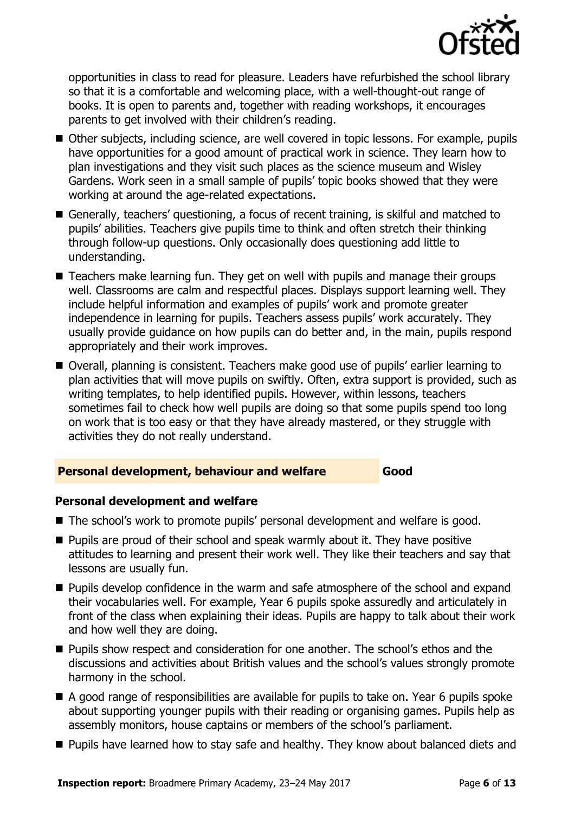

opportunities in class to read for pleasure. Leaders have refurbished the school library so that it is a comfortable and welcoming place, with a well-thought-out range of books. It is open to parents and, together with reading workshops, it encourages parents to get involved with their children's reading.

- Other subjects, including science, are well covered in topic lessons. For example, pupils have opportunities for a good amount of practical work in science. They learn how to plan investigations and they visit such places as the science museum and Wisley Gardens. Work seen in a small sample of pupils' topic books showed that they were working at around the age-related expectations.
- Generally, teachers' questioning, a focus of recent training, is skilful and matched to pupils' abilities. Teachers give pupils time to think and often stretch their thinking through follow-up questions. Only occasionally does questioning add little to understanding.
- Teachers make learning fun. They get on well with pupils and manage their groups well. Classrooms are calm and respectful places. Displays support learning well. They include helpful information and examples of pupils' work and promote greater independence in learning for pupils. Teachers assess pupils' work accurately. They usually provide guidance on how pupils can do better and, in the main, pupils respond appropriately and their work improves.
- Overall, planning is consistent. Teachers make good use of pupils' earlier learning to plan activities that will move pupils on swiftly. Often, extra support is provided, such as writing templates, to help identified pupils. However, within lessons, teachers sometimes fail to check how well pupils are doing so that some pupils spend too long on work that is too easy or that they have already mastered, or they struggle with activities they do not really understand.

#### **Personal development, behaviour and welfare Good**

#### **Personal development and welfare**

- The school's work to promote pupils' personal development and welfare is good.
- $\blacksquare$  Pupils are proud of their school and speak warmly about it. They have positive attitudes to learning and present their work well. They like their teachers and say that lessons are usually fun.
- **Pupils develop confidence in the warm and safe atmosphere of the school and expand** their vocabularies well. For example, Year 6 pupils spoke assuredly and articulately in front of the class when explaining their ideas. Pupils are happy to talk about their work and how well they are doing.
- **Pupils show respect and consideration for one another. The school's ethos and the** discussions and activities about British values and the school's values strongly promote harmony in the school.
- A good range of responsibilities are available for pupils to take on. Year 6 pupils spoke about supporting younger pupils with their reading or organising games. Pupils help as assembly monitors, house captains or members of the school's parliament.
- **Pupils have learned how to stay safe and healthy. They know about balanced diets and**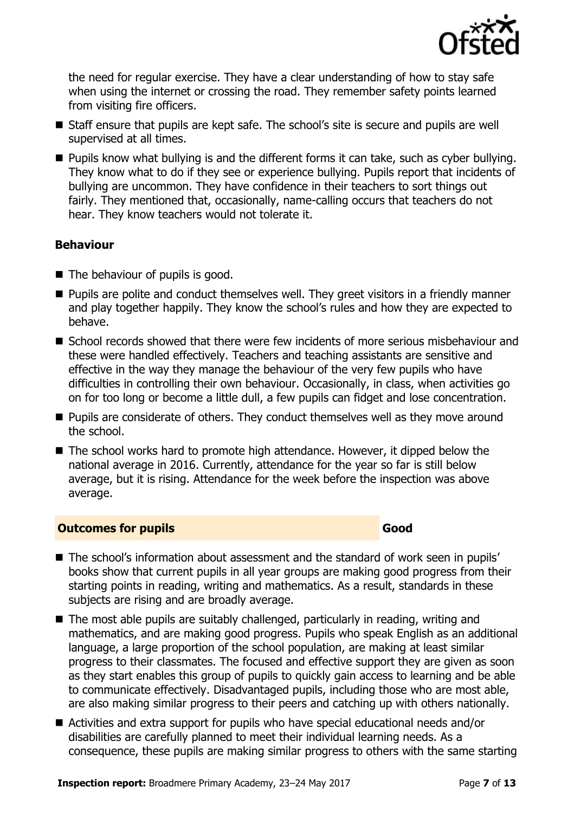

the need for regular exercise. They have a clear understanding of how to stay safe when using the internet or crossing the road. They remember safety points learned from visiting fire officers.

- Staff ensure that pupils are kept safe. The school's site is secure and pupils are well supervised at all times.
- **Pupils know what bullying is and the different forms it can take, such as cyber bullying.** They know what to do if they see or experience bullying. Pupils report that incidents of bullying are uncommon. They have confidence in their teachers to sort things out fairly. They mentioned that, occasionally, name-calling occurs that teachers do not hear. They know teachers would not tolerate it.

## **Behaviour**

- The behaviour of pupils is good.
- **Pupils are polite and conduct themselves well. They greet visitors in a friendly manner** and play together happily. They know the school's rules and how they are expected to behave.
- School records showed that there were few incidents of more serious misbehaviour and these were handled effectively. Teachers and teaching assistants are sensitive and effective in the way they manage the behaviour of the very few pupils who have difficulties in controlling their own behaviour. Occasionally, in class, when activities go on for too long or become a little dull, a few pupils can fidget and lose concentration.
- **Pupils are considerate of others. They conduct themselves well as they move around** the school.
- The school works hard to promote high attendance. However, it dipped below the national average in 2016. Currently, attendance for the year so far is still below average, but it is rising. Attendance for the week before the inspection was above average.

## **Outcomes for pupils Good Good**

- The school's information about assessment and the standard of work seen in pupils' books show that current pupils in all year groups are making good progress from their starting points in reading, writing and mathematics. As a result, standards in these subjects are rising and are broadly average.
- The most able pupils are suitably challenged, particularly in reading, writing and mathematics, and are making good progress. Pupils who speak English as an additional language, a large proportion of the school population, are making at least similar progress to their classmates. The focused and effective support they are given as soon as they start enables this group of pupils to quickly gain access to learning and be able to communicate effectively. Disadvantaged pupils, including those who are most able, are also making similar progress to their peers and catching up with others nationally.
- Activities and extra support for pupils who have special educational needs and/or disabilities are carefully planned to meet their individual learning needs. As a consequence, these pupils are making similar progress to others with the same starting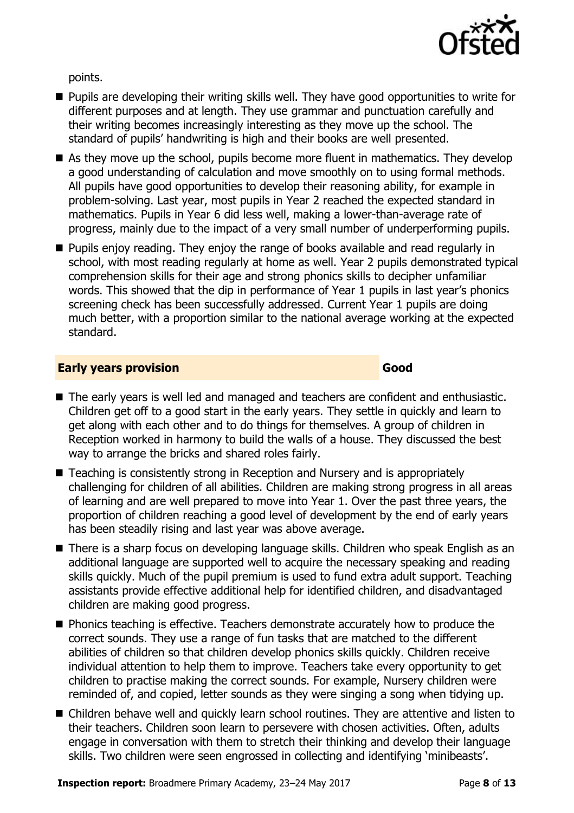

points.

- **Pupils are developing their writing skills well. They have good opportunities to write for** different purposes and at length. They use grammar and punctuation carefully and their writing becomes increasingly interesting as they move up the school. The standard of pupils' handwriting is high and their books are well presented.
- As they move up the school, pupils become more fluent in mathematics. They develop a good understanding of calculation and move smoothly on to using formal methods. All pupils have good opportunities to develop their reasoning ability, for example in problem-solving. Last year, most pupils in Year 2 reached the expected standard in mathematics. Pupils in Year 6 did less well, making a lower-than-average rate of progress, mainly due to the impact of a very small number of underperforming pupils.
- **Pupils enjoy reading. They enjoy the range of books available and read regularly in** school, with most reading regularly at home as well. Year 2 pupils demonstrated typical comprehension skills for their age and strong phonics skills to decipher unfamiliar words. This showed that the dip in performance of Year 1 pupils in last year's phonics screening check has been successfully addressed. Current Year 1 pupils are doing much better, with a proportion similar to the national average working at the expected standard.

## **Early years provision Good Good**

- The early years is well led and managed and teachers are confident and enthusiastic. Children get off to a good start in the early years. They settle in quickly and learn to get along with each other and to do things for themselves. A group of children in Reception worked in harmony to build the walls of a house. They discussed the best way to arrange the bricks and shared roles fairly.
- Teaching is consistently strong in Reception and Nursery and is appropriately challenging for children of all abilities. Children are making strong progress in all areas of learning and are well prepared to move into Year 1. Over the past three years, the proportion of children reaching a good level of development by the end of early years has been steadily rising and last year was above average.
- There is a sharp focus on developing language skills. Children who speak English as an additional language are supported well to acquire the necessary speaking and reading skills quickly. Much of the pupil premium is used to fund extra adult support. Teaching assistants provide effective additional help for identified children, and disadvantaged children are making good progress.
- **Phonics teaching is effective. Teachers demonstrate accurately how to produce the** correct sounds. They use a range of fun tasks that are matched to the different abilities of children so that children develop phonics skills quickly. Children receive individual attention to help them to improve. Teachers take every opportunity to get children to practise making the correct sounds. For example, Nursery children were reminded of, and copied, letter sounds as they were singing a song when tidying up.
- Children behave well and quickly learn school routines. They are attentive and listen to their teachers. Children soon learn to persevere with chosen activities. Often, adults engage in conversation with them to stretch their thinking and develop their language skills. Two children were seen engrossed in collecting and identifying 'minibeasts'.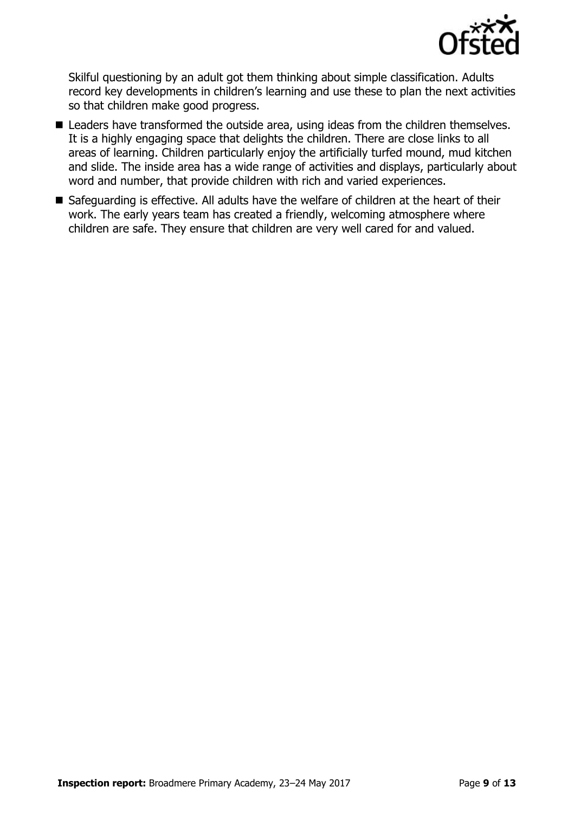

Skilful questioning by an adult got them thinking about simple classification. Adults record key developments in children's learning and use these to plan the next activities so that children make good progress.

- Leaders have transformed the outside area, using ideas from the children themselves. It is a highly engaging space that delights the children. There are close links to all areas of learning. Children particularly enjoy the artificially turfed mound, mud kitchen and slide. The inside area has a wide range of activities and displays, particularly about word and number, that provide children with rich and varied experiences.
- Safeguarding is effective. All adults have the welfare of children at the heart of their work. The early years team has created a friendly, welcoming atmosphere where children are safe. They ensure that children are very well cared for and valued.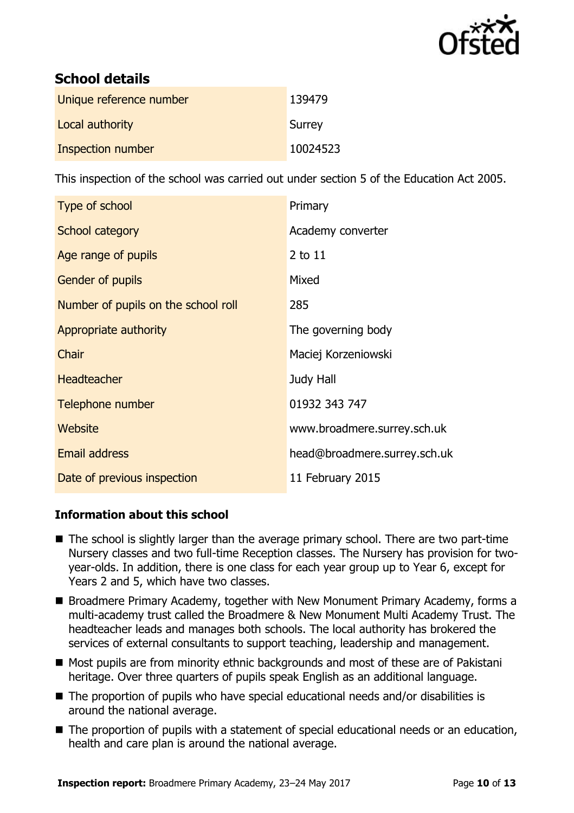

# **School details**

| Unique reference number | 139479   |
|-------------------------|----------|
| Local authority         | Surrey   |
| Inspection number       | 10024523 |

This inspection of the school was carried out under section 5 of the Education Act 2005.

| Type of school                      | Primary                      |
|-------------------------------------|------------------------------|
| School category                     | Academy converter            |
| Age range of pupils                 | $2$ to $11$                  |
| <b>Gender of pupils</b>             | Mixed                        |
| Number of pupils on the school roll | 285                          |
| Appropriate authority               | The governing body           |
| Chair                               | Maciej Korzeniowski          |
| <b>Headteacher</b>                  | Judy Hall                    |
| Telephone number                    | 01932 343 747                |
| Website                             | www.broadmere.surrey.sch.uk  |
| <b>Email address</b>                | head@broadmere.surrey.sch.uk |
| Date of previous inspection         | 11 February 2015             |

## **Information about this school**

- The school is slightly larger than the average primary school. There are two part-time Nursery classes and two full-time Reception classes. The Nursery has provision for twoyear-olds. In addition, there is one class for each year group up to Year 6, except for Years 2 and 5, which have two classes.
- Broadmere Primary Academy, together with New Monument Primary Academy, forms a multi-academy trust called the Broadmere & New Monument Multi Academy Trust. The headteacher leads and manages both schools. The local authority has brokered the services of external consultants to support teaching, leadership and management.
- Most pupils are from minority ethnic backgrounds and most of these are of Pakistani heritage. Over three quarters of pupils speak English as an additional language.
- The proportion of pupils who have special educational needs and/or disabilities is around the national average.
- The proportion of pupils with a statement of special educational needs or an education, health and care plan is around the national average.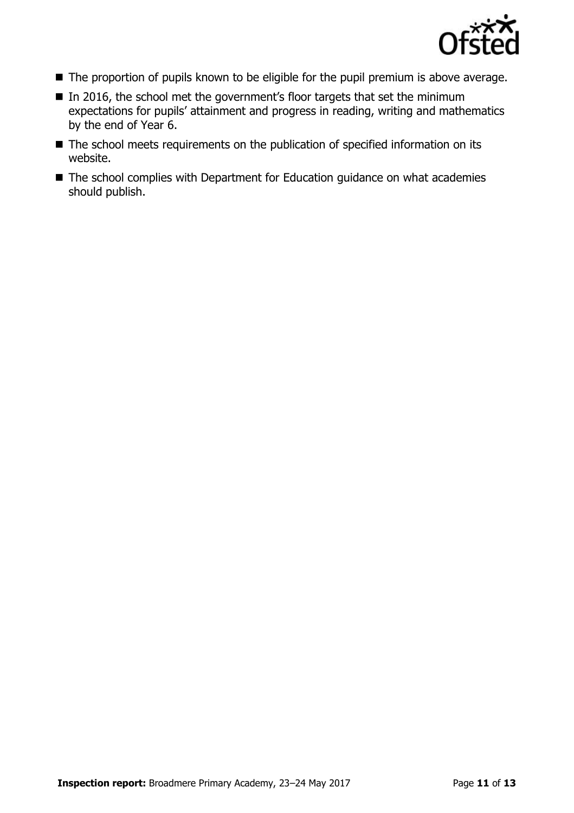

- The proportion of pupils known to be eligible for the pupil premium is above average.
- In 2016, the school met the government's floor targets that set the minimum expectations for pupils' attainment and progress in reading, writing and mathematics by the end of Year 6.
- The school meets requirements on the publication of specified information on its website.
- The school complies with Department for Education guidance on what academies should publish.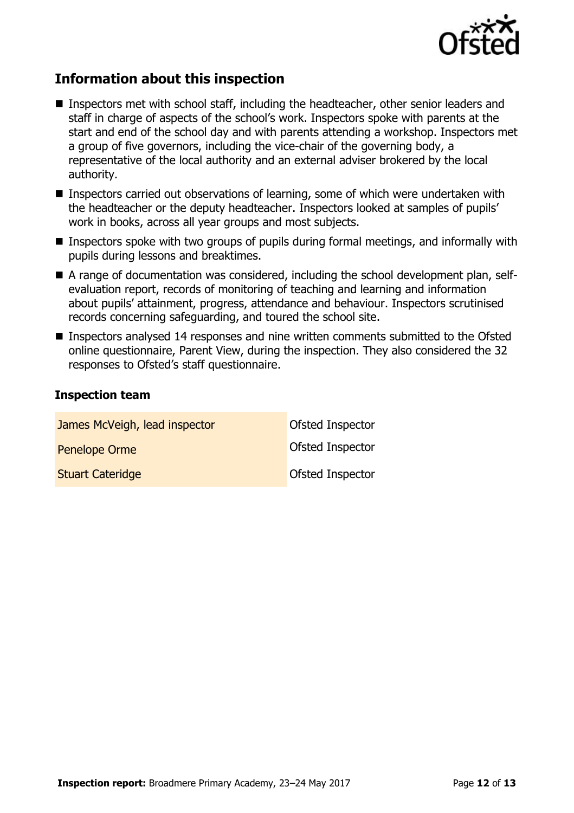

# **Information about this inspection**

- Inspectors met with school staff, including the headteacher, other senior leaders and staff in charge of aspects of the school's work. Inspectors spoke with parents at the start and end of the school day and with parents attending a workshop. Inspectors met a group of five governors, including the vice-chair of the governing body, a representative of the local authority and an external adviser brokered by the local authority.
- Inspectors carried out observations of learning, some of which were undertaken with the headteacher or the deputy headteacher. Inspectors looked at samples of pupils' work in books, across all year groups and most subjects.
- **Inspectors spoke with two groups of pupils during formal meetings, and informally with** pupils during lessons and breaktimes.
- A range of documentation was considered, including the school development plan, selfevaluation report, records of monitoring of teaching and learning and information about pupils' attainment, progress, attendance and behaviour. Inspectors scrutinised records concerning safeguarding, and toured the school site.
- Inspectors analysed 14 responses and nine written comments submitted to the Ofsted online questionnaire, Parent View, during the inspection. They also considered the 32 responses to Ofsted's staff questionnaire.

#### **Inspection team**

| James McVeigh, lead inspector | Ofsted Inspector |
|-------------------------------|------------------|
| Penelope Orme                 | Ofsted Inspector |
| <b>Stuart Cateridge</b>       | Ofsted Inspector |